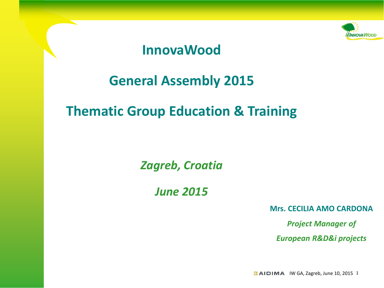

## **InnovaWood**

## **General Assembly 2015**

## **Thematic Group Education & Training**

*Zagreb, Croatia*

*June 2015*

**Mrs. CECILIA AMO CARDONA**

*Project Manager of European R&D&i projects*

 $E$  AIDIMA IW GA, Zagreb, June 10, 2015 1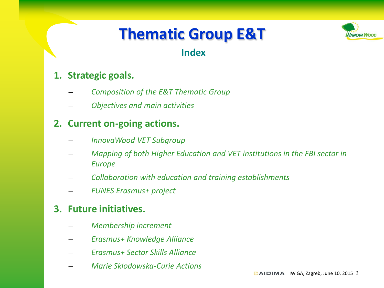

## **Index**

### **1. Strategic goals.**

- *Composition of the E&T Thematic Group*
- *Objectives and main activities*

## **2. Current on-going actions.**

- *InnovaWood VET Subgroup*
- *Mapping of both Higher Education and VET institutions in the FBI sector in Europe*
- *Collaboration with education and training establishments*
- *FUNES Erasmus+ project*

- *Membership increment*
- *Erasmus+ Knowledge Alliance*
- *Erasmus+ Sector Skills Alliance*
- *Marie Sklodowska-Curie Actions*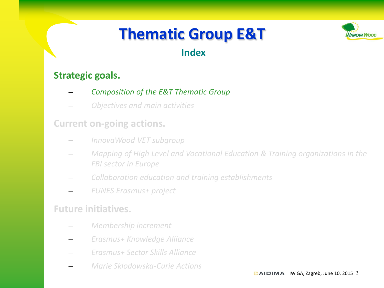

## **Index**

### **Strategic goals.**

- *Composition of the E&T Thematic Group*
- *Objectives and main activities*

#### **Current on-going actions.**

- *InnovaWood VET subgroup*
- *Mapping of High Level and Vocational Education & Training organizations in the FBI sector in Europe*
- *Collaboration education and training establishments*
- *FUNES Erasmus+ project*

- *Membership increment*
- *Erasmus+ Knowledge Alliance*
- *Erasmus+ Sector Skills Alliance*
- *Marie Sklodowska-Curie Actions*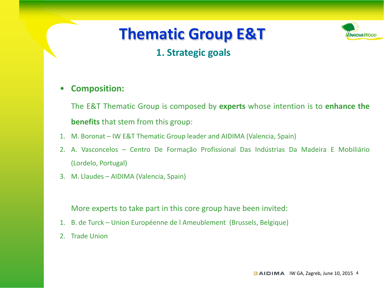

## **1. Strategic goals**

#### • **Composition:**

The E&T Thematic Group is composed by **experts** whose intention is to **enhance the benefits** that stem from this group:

- 1. M. Boronat IW E&T Thematic Group leader and AIDIMA (Valencia, Spain)
- 2. A. Vasconcelos Centro De Formação Profissional Das Indústrias Da Madeira E Mobiliário (Lordelo, Portugal)
- 3. M. Llaudes AIDIMA (Valencia, Spain)

More experts to take part in this core group have been invited:

- 1. B. de Turck Union Européenne de l Ameublement (Brussels, Belgique)
- 2. Trade Union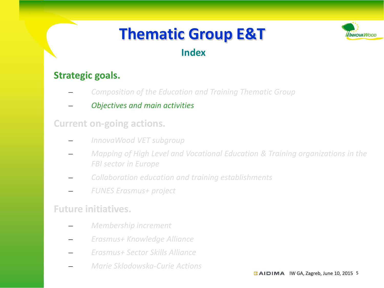

## **Index**

### **Strategic goals.**

- *Composition of the Education and Training Thematic Group*
- *Objectives and main activities*

### **Current on-going actions.**

- *InnovaWood VET subgroup*
- *Mapping of High Level and Vocational Education & Training organizations in the FBI sector in Europe*
- *Collaboration education and training establishments*
- *FUNES Erasmus+ project*

- *Membership increment*
- *Erasmus+ Knowledge Alliance*
- *Erasmus+ Sector Skills Alliance*
- *Marie Sklodowska-Curie Actions*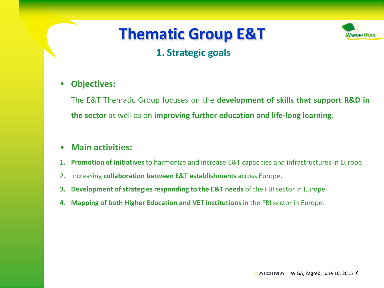

#### • **Objectives:**

The E&T Thematic Group focuses on the **development of skills that support R&D in the sector** as well as on **improving further education and life-long learning**.

#### • **Main activities:**

- **1. Promotion of initiatives** to harmonize and increase E&T capacities and infrastructures in Europe.
- 2. Increasing **collaboration between E&T establishments** across Europe.
- **3. Development of strategies responding to the E&T needs** of the FBI sector in Europe.
- **4. Mapping of both Higher Education and VET institutions** in the FBI sector in Europe.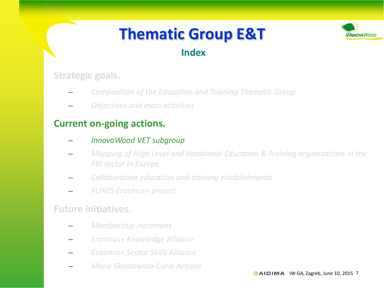

## **Index**

**Strategic goals.**

- *Composition of the Education and Training Thematic Group*
- *Objectives and main activities*

### **Current on-going actions.**

- *InnovaWood VET subgroup*
- *Mapping of High Level and Vocational Education & Training organizations in the FBI sector in Europe*
- *Collaboration education and training establishments*
- *FUNES Erasmus+ project*

- *Membership increment*
- *Erasmus+ Knowledge Alliance*
- *Erasmus+ Sector Skills Alliance*
- *Marie Sklodowska-Curie Actions*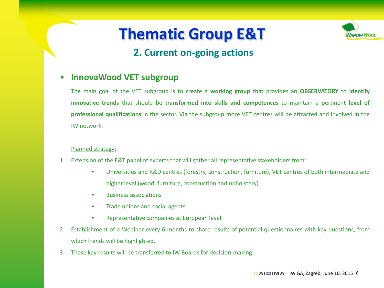

## **2. Current on-going actions**

#### • **InnovaWood VET subgroup**

The main goal of the VET subgroup is to create a **working group** that provides an **OBSERVATORY** to **identify innovative trends** that should be **transformed into skills and competences** to maintain a pertinent **level of professional qualifications** in the sector. Via the subgroup more VET centres will be attracted and involved in the IW network.

#### Planned strategy:

- 1. Extension of the E&T panel of experts that will gather all representative stakeholders from:
	- Universities and R&D centres (forestry, construction, furniture), VET centres of both intermediate and higher level (wood, furniture, construction and upholstery)
	- Business associations
	- Trade unions and social agents
	- Representative companies at European level
- 2. Establishment of a Webinar every 6 months to share results of potential questionnaires with key questions, from which trends will be highlighted.
- 3. These key results will be transferred to IW Boards for decision-making.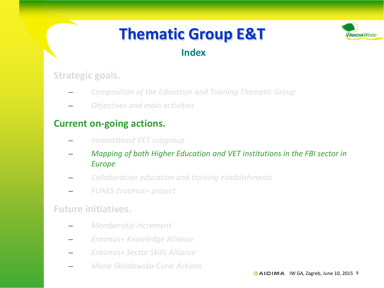

## **Index**

**Strategic goals.**

- *Composition of the Education and Training Thematic Group*
- *Objectives and main activities*

## **Current on-going actions.**

- *InnovaWood VET subgroup*
- *Mapping of both Higher Education and VET institutions in the FBI sector in Europe*
- *Collaboration education and training establishments*
- *FUNES Erasmus+ project*

- *Membership increment*
- *Erasmus+ Knowledge Alliance*
- *Erasmus+ Sector Skills Alliance*
- *Marie Sklodowska-Curie Actions*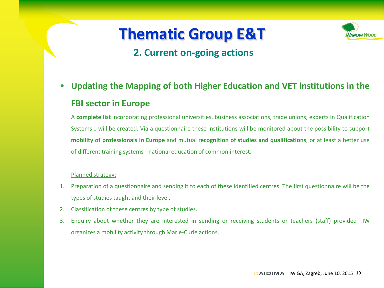

## **2. Current on-going actions**

• **Updating the Mapping of both Higher Education and VET institutions in the FBI sector in Europe**

A **complete list** incorporating professional universities, business associations, trade unions, experts in Qualification Systems… will be created. Via a questionnaire these institutions will be monitored about the possibility to support **mobility of professionals in Europe** and mutual **recognition of studies and qualifications**, or at least a better use of different training systems - national education of common interest.

#### Planned strategy:

- 1. Preparation of a questionnaire and sending it to each of these identified centres. The first questionnaire will be the types of studies taught and their level.
- 2. Classification of these centres by type of studies.
- 3. Enquiry about whether they are interested in sending or receiving students or teachers (staff) provided IW organizes a mobility activity through Marie-Curie actions.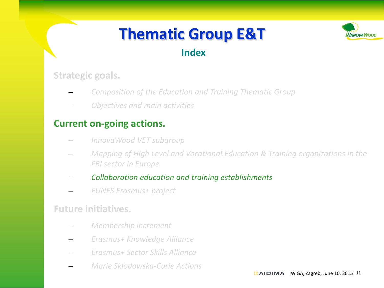

## **Index**

### **Strategic goals.**

- *Composition of the Education and Training Thematic Group*
- *Objectives and main activities*

### **Current on-going actions.**

- *InnovaWood VET subgroup*
- *Mapping of High Level and Vocational Education & Training organizations in the FBI sector in Europe*
- *Collaboration education and training establishments*
- *FUNES Erasmus+ project*

- *Membership increment*
- *Erasmus+ Knowledge Alliance*
- *Erasmus+ Sector Skills Alliance*
- *Marie Sklodowska-Curie Actions*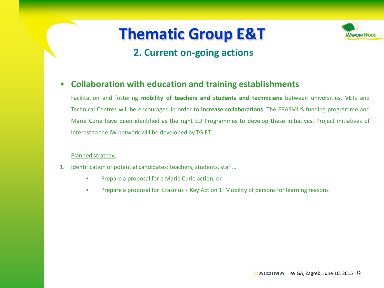## **2. Current on-going actions**



Facilitation and fostering **mobility of teachers and students and technicians** between universities, VETs and Technical Centres will be encouraged in order to **increase collaborations**. The ERASMUS funding programme and Marie Curie have been identified as the right EU Programmes to develop these initiatives. Project initiatives of interest to the IW network will be developed by TG ET.

#### Planned strategy:

- 1. Identification of potential candidates: teachers, students, staff…
	- Prepare a proposal for a Marie Curie action, or
	- Prepare a proposal for Erasmus + Key Action 1: Mobility of persons for learning reasons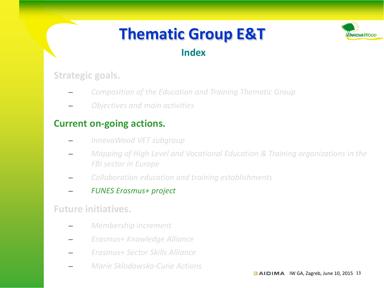

## **Index**

### **Strategic goals.**

- *Composition of the Education and Training Thematic Group*
- *Objectives and main activities*

### **Current on-going actions.**

- *InnovaWood VET subgroup*
- *Mapping of High Level and Vocational Education & Training organizations in the FBI sector in Europe*
- *Collaboration education and training establishments*
- *FUNES Erasmus+ project*

- *Membership increment*
- *Erasmus+ Knowledge Alliance*
- *Erasmus+ Sector Skills Alliance*
- *Marie Sklodowska-Curie Actions*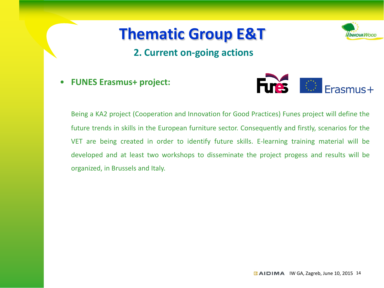

### **2. Current on-going actions**

• **FUNES Erasmus+ project:**



Being a KA2 project (Cooperation and Innovation for Good Practices) Funes project will define the future trends in skills in the European furniture sector. Consequently and firstly, scenarios for the VET are being created in order to identify future skills. E-learning training material will be developed and at least two workshops to disseminate the project progess and results will be organized, in Brussels and Italy.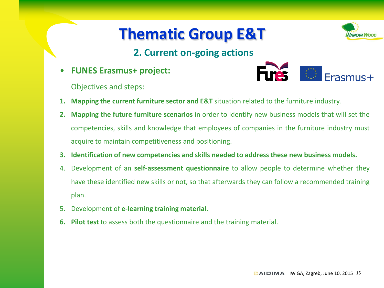## **2. Current on-going actions**

• **FUNES Erasmus+ project:**

Objectives and steps:



- **1. Mapping the current furniture sector and E&T** situation related to the furniture industry.
- **2. Mapping the future furniture scenarios** in order to identify new business models that will set the competencies, skills and knowledge that employees of companies in the furniture industry must acquire to maintain competitiveness and positioning.
- **3. Identification of new competencies and skills needed to addressthese new business models.**
- 4. Development of an **self-assessment questionnaire** to allow people to determine whether they have these identified new skills or not, so that afterwards they can follow a recommended training plan.
- 5. Development of **e-learning training material**.
- **6. Pilot test** to assess both the questionnaire and the training material.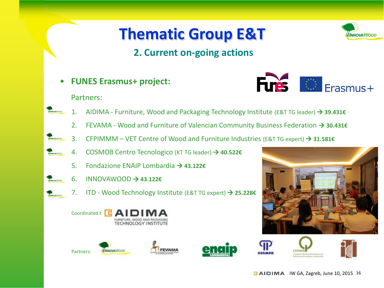## **2. Current on-going actions**

• **FUNES Erasmus+ project:**



- $\bigcirc$  Erasmus+ **Fures**
- 1. AIDIMA Furniture, Wood and Packaging Technology Institute (E&T TG leader) **39.431€**
	- 2. FEVAMA Wood and Furniture of Valencian Community Business Federation **30.431€**
- 3. CFPIMMM VET Centre of Wood and Furniture Industries (E&T TG expert) **31.581€**
- 4. COSMOB Centro Tecnologico (KT TG leader) **40.522€**
	- 5. Fondazione ENAIP Lombardia **43.122€**
- 6. INNOVAWOOD **43.122€**
	- 7. ITD Wood Technology Institute (E&T TG expert) **25.228€**

FEVAMA











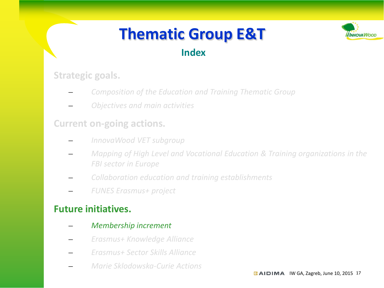

## **Index**

### **Strategic goals.**

- *Composition of the Education and Training Thematic Group*
- *Objectives and main activities*

### **Current on-going actions.**

- *InnovaWood VET subgroup*
- *Mapping of High Level and Vocational Education & Training organizations in the FBI sector in Europe*
- *Collaboration education and training establishments*
- *FUNES Erasmus+ project*

- *Membership increment*
- *Erasmus+ Knowledge Alliance*
- *Erasmus+ Sector Skills Alliance*
- *Marie Sklodowska-Curie Actions*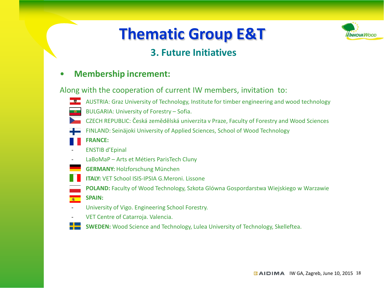## **3. Future Initiatives**

#### • **Membership increment:**

Along with the cooperation of current IW members, invitation to:

- AUSTRIA: Graz University of Technology, Institute for timber engineering and wood technology • BULGARIA: University of Forestry – Sofia.
- CZECH REPUBLIC: Česká zemědělská univerzita v Praze, Faculty of Forestry and Wood Sciences
- FINLAND: Seinäjoki University of Applied Sciences, School of Wood Technology
- **FRANCE:**
- ENSTIB d'Epinal
- LaBoMaP Arts et Métiers ParisTech Cluny
- **GERMANY:** Holzforschung München
- **ITALY:** VET School ISIS-IPSIA G.Meroni. Lissone
- **POLAND:** Faculty of Wood Technology, Szkota Glówna Gospordarstwa Wiejskiego w Warzawie
- **SPAIN:**
- University of Vigo. Engineering School Forestry.
- VET Centre of Catarroja. Valencia.
- **SWEDEN:** Wood Science and Technology, Lulea University of Technology, Skelleftea.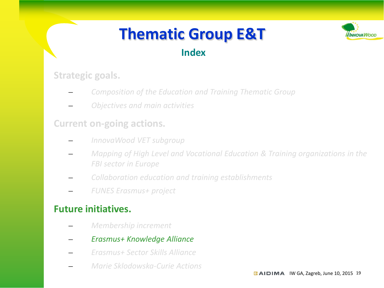

## **Index**

### **Strategic goals.**

- *Composition of the Education and Training Thematic Group*
- *Objectives and main activities*

### **Current on-going actions.**

- *InnovaWood VET subgroup*
- *Mapping of High Level and Vocational Education & Training organizations in the FBI sector in Europe*
- *Collaboration education and training establishments*
- *FUNES Erasmus+ project*

- *Membership increment*
- *Erasmus+ Knowledge Alliance*
- *Erasmus+ Sector Skills Alliance*
- *Marie Sklodowska-Curie Actions*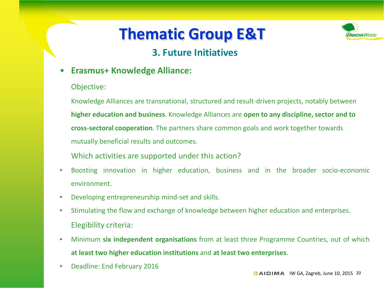## **3. Future Initiatives**

- **Erasmus+ Knowledge Alliance:**
	- Objective:

Knowledge Alliances are transnational, structured and result-driven projects, notably between **higher education and business**. Knowledge Alliances are **open to any discipline, sector and to cross-sectoral cooperation**. The partners share common goals and work together towards mutually beneficial results and outcomes.

Which activities are supported under this action?

- Boosting innovation in higher education, business and in the broader socio-economic environment.
- Developing entrepreneurship mind-set and skills.
- Stimulating the flow and exchange of knowledge between higher education and enterprises. Elegibility criteria:
- Minimum **six independent organisations** from at least three Programme Countries, out of which **at least two higher education institutions** and **at least two enterprises**.
- Deadline: End February 2016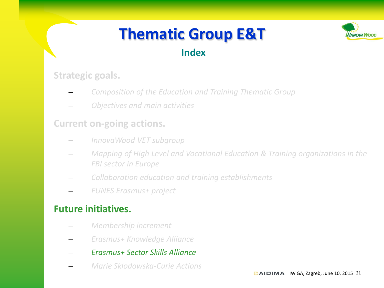

## **Index**

### **Strategic goals.**

- *Composition of the Education and Training Thematic Group*
- *Objectives and main activities*

### **Current on-going actions.**

- *InnovaWood VET subgroup*
- *Mapping of High Level and Vocational Education & Training organizations in the FBI sector in Europe*
- *Collaboration education and training establishments*
- *FUNES Erasmus+ project*

- *Membership increment*
- *Erasmus+ Knowledge Alliance*
- *Erasmus+ Sector Skills Alliance*
- *Marie Sklodowska-Curie Actions*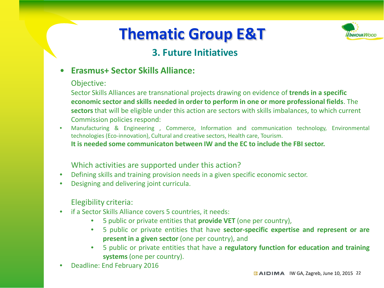

## **3. Future Initiatives**

• **Erasmus+ Sector Skills Alliance:**

#### Objective:

Sector Skills Alliances are transnational projects drawing on evidence of **trends in a specific economic sector and skills needed in order to perform in one or more professional fields**. The **sectors**that will be eligible under this action are sectors with skills imbalances, to which current Commission policies respond:

• Manufacturing & Engineering , Commerce, Information and communication technology, Environmental technologies (Eco-innovation), Cultural and creative sectors, Health care, Tourism.

**It is needed some communicaton between IW and the EC to include the FBI sector.**

#### Which activities are supported under this action?

- Defining skills and training provision needs in a given specific economic sector.
- Designing and delivering joint curricula.

#### Elegibility criteria:

- if a Sector Skills Alliance covers 5 countries, it needs:
	- 5 public or private entities that **provide VET** (one per country),
	- 5 public or private entities that have **sector-specific expertise and represent or are present in a given sector** (one per country), and
	- 5 public or private entities that have a **regulatory function for education and training systems**(one per country).
- Deadline: End February 2016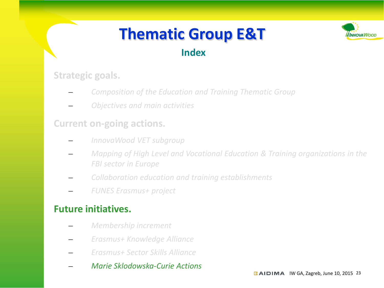

## **Index**

### **Strategic goals.**

- *Composition of the Education and Training Thematic Group*
- *Objectives and main activities*

## **Current on-going actions.**

- *InnovaWood VET subgroup*
- *Mapping of High Level and Vocational Education & Training organizations in the FBI sector in Europe*
- *Collaboration education and training establishments*
- *FUNES Erasmus+ project*

- *Membership increment*
- *Erasmus+ Knowledge Alliance*
- *Erasmus+ Sector Skills Alliance*
- *Marie Sklodowska-Curie Actions*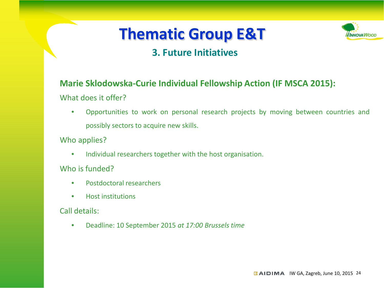

## **3. Future Initiatives**

#### **Marie Sklodowska-Curie Individual Fellowship Action (IF MSCA 2015):**

What does it offer?

• Opportunities to work on personal research projects by moving between countries and possibly sectors to acquire new skills.

Who applies?

• Individual researchers together with the host organisation.

Who is funded?

- Postdoctoral researchers
- Host institutions

Call details:

• Deadline: 10 September 2015 *at 17:00 Brussels time*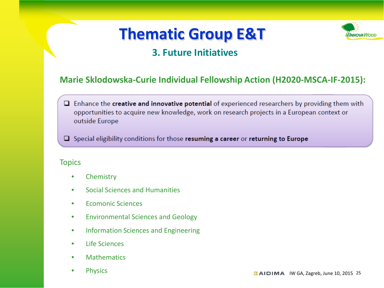

## **3. Future Initiatives**

#### **Marie Sklodowska-Curie Individual Fellowship Action (H2020-MSCA-IF-2015):**

 $\Box$  Enhance the creative and innovative potential of experienced researchers by providing them with opportunities to acquire new knowledge, work on research projects in a European context or outside Europe

 $\Box$  Special eligibility conditions for those resuming a career or returning to Europe

#### **Topics**

- Chemistry
- Social Sciences and Humanities
- Ecomonic Sciences
- Environmental Sciences and Geology
- Information Sciences and Engineering
- Life Sciences
- Mathematics
- Physics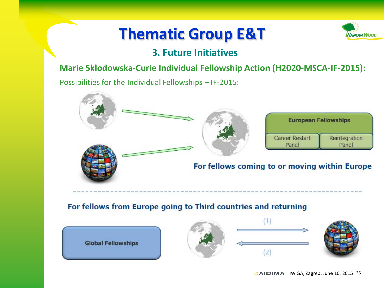

## **3. Future Initiatives**

#### **Marie Sklodowska-Curie Individual Fellowship Action (H2020-MSCA-IF-2015):**

Possibilities for the Individual Fellowships – IF-2015:



#### For fellows from Europe going to Third countries and returning







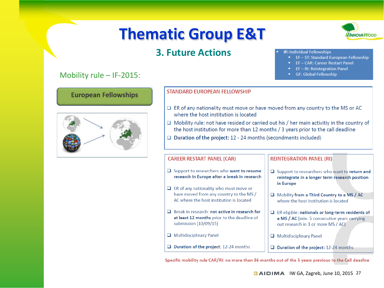

#### **IF: Individual Fellowships**

EF-ST: Standard European Fellowship

**NNOVA WOO** 

- EF-CAR: Career Restart Panel
- EF-RI: Reintegration Panel
- GF: Global Fellowship

#### Mobility rule – IF-2015:

**European Fellowships** 



#### **STANDARD FUROPFAN FFI LOWSHIP**

- $\Box$  ER of any nationality must move or have moved from any country to the MS or AC where the host institution is located
- $\Box$  Mobility rule: not have resided or carried out his / her main activitiv in the country of the host institution for more than 12 months / 3 years prior to the call deadline
- $\Box$  Duration of the project: 12 24 months (secondments included)

#### **CAREER RESTART PANEL (CAR)**

- $\Box$  Support to researchers who want to resume research in Europe after a break in research
- $\Box$  ER of any nationality who must move or have moved from any country to the MS / AC where the host institution is located
- **Q** Break in research: not active in research for at least 12 months prior to the deadline of submission (10/09/15)
- $\Box$  Multidisciplinary Panel
- $\Box$  Duration of the project: 12-24 months

#### **REINTEGRATION PANEL (RI)**

- □ Support to researchers who want to return and reintegrate in a longer term research position in Europe
- Mobility from a Third Country to a MS / AC where the host institution is located
- $\Box$  ER eligible: nationals or long-term residents of a MS / AC (min. 5 consecutive years carrying out research in 1 or more MS / AC)
- Multidisciplinary Panel
- D Duration of the project: 12-24 months

Specific mobility rule CAR/RI: no more than 36 months out of the 5 years previous to the Call deadlne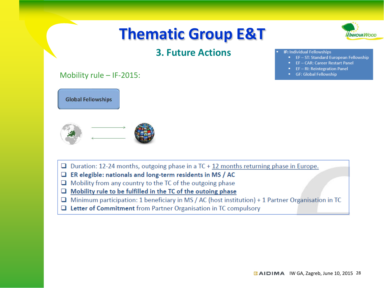



#### **IF: Individual Fellowships**

- EF-ST: Standard European Fellowship
- EF-CAR: Career Restart Panel
- EF-RI: Reintegration Panel
- GF: Global Fellowship

#### Mobility rule – IF-2015:



- $\Box$  Duration: 12-24 months, outgoing phase in a TC + 12 months returning phase in Europe.
- $\Box$  ER elegible: nationals and long-term residents in MS / AC
- $\Box$  Mobility from any country to the TC of the outgoing phase
- Mobility rule to be fulfilled in the TC of the outoing phase  $\Box$
- $\Box$  Minimum participation: 1 beneficiary in MS / AC (host institution) + 1 Partner Organisation in TC
- $\Box$  Letter of Commitment from Partner Organisation in TC compulsory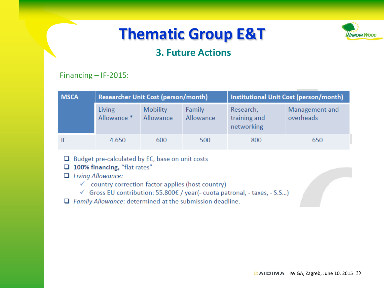

## **3. Future Actions**

#### Financing – IF-2015:

| <b>MSCA</b> | <b>Researcher Unit Cost (person/month)</b> |                              |                     | Institutional Unit Cost (person/month)  |                             |
|-------------|--------------------------------------------|------------------------------|---------------------|-----------------------------------------|-----------------------------|
|             | Living<br>Allowance *                      | <b>Mobility</b><br>Allowance | Family<br>Allowance | Research,<br>training and<br>networking | Management and<br>overheads |
|             | 4.650                                      | 600                          | 500                 | 800                                     | 650                         |

- $\Box$  Budget pre-calculated by EC, base on unit costs
- 100% financing, "flat rates"
- $\Box$  Living Allowance:
	- $\checkmark$  country correction factor applies (host country)
	- √ Gross EU contribution: 55.800€ / year(- cuota patronal, taxes, S.S...)
- $\Box$  Family Allowance: determined at the submission deadline.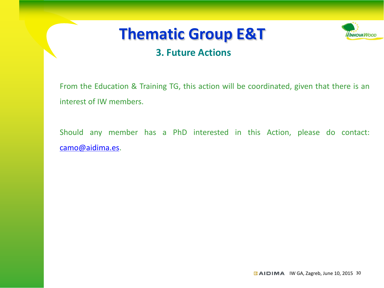## **3. Future Actions**

From the Education & Training TG, this action will be coordinated, given that there is an interest of IW members.

Should any member has a PhD interested in this Action, please do contact: camo@aidima.es.

**NNOVA WOO**